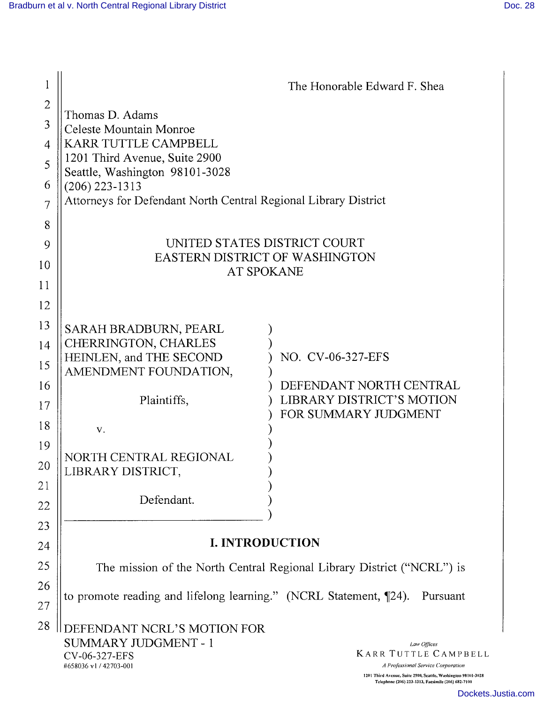| 1                 | The Honorable Edward F. Shea                                                                                                                                                                                                                                                                              |  |
|-------------------|-----------------------------------------------------------------------------------------------------------------------------------------------------------------------------------------------------------------------------------------------------------------------------------------------------------|--|
| $\mathbf{2}$<br>3 | Thomas D. Adams<br>Celeste Mountain Monroe<br><b>KARR TUTTLE CAMPBELL</b>                                                                                                                                                                                                                                 |  |
| 4<br>5            | 1201 Third Avenue, Suite 2900                                                                                                                                                                                                                                                                             |  |
| 6                 | Seattle, Washington 98101-3028<br>$(206)$ 223-1313                                                                                                                                                                                                                                                        |  |
| $\overline{7}$    | Attorneys for Defendant North Central Regional Library District                                                                                                                                                                                                                                           |  |
| 8                 |                                                                                                                                                                                                                                                                                                           |  |
| 9                 | UNITED STATES DISTRICT COURT                                                                                                                                                                                                                                                                              |  |
| 10                | <b>EASTERN DISTRICT OF WASHINGTON</b><br>AT SPOKANE                                                                                                                                                                                                                                                       |  |
| 11                |                                                                                                                                                                                                                                                                                                           |  |
| 12                |                                                                                                                                                                                                                                                                                                           |  |
| 13                | SARAH BRADBURN, PEARL                                                                                                                                                                                                                                                                                     |  |
| 14<br>15          | CHERRINGTON, CHARLES<br>HEINLEN, and THE SECOND<br>NO. CV-06-327-EFS                                                                                                                                                                                                                                      |  |
| 16                | AMENDMENT FOUNDATION,<br>DEFENDANT NORTH CENTRAL                                                                                                                                                                                                                                                          |  |
| 17                | LIBRARY DISTRICT'S MOTION<br>Plaintiffs,<br>FOR SUMMARY JUDGMENT                                                                                                                                                                                                                                          |  |
| 18                | V.                                                                                                                                                                                                                                                                                                        |  |
| 19<br>20          | NORTH CENTRAL REGIONAL<br>LIBRARY DISTRICT,                                                                                                                                                                                                                                                               |  |
| 21<br>22          | Defendant.                                                                                                                                                                                                                                                                                                |  |
| 23                |                                                                                                                                                                                                                                                                                                           |  |
| 24                | <b>I. INTRODUCTION</b>                                                                                                                                                                                                                                                                                    |  |
| 25                | The mission of the North Central Regional Library District ("NCRL") is                                                                                                                                                                                                                                    |  |
| 26<br>27          | to promote reading and lifelong learning." (NCRL Statement, 124).<br>Pursuant                                                                                                                                                                                                                             |  |
| 28                | DEFENDANT NCRL'S MOTION FOR<br>SUMMARY JUDGMENT - 1<br>Law Offices<br><b>KARR TUTTLE CAMPBELL</b><br>CV-06-327-EFS<br>#658036 v1 / 42703-001<br>A Professional Service Corporation<br>1201 Third Avenue, Suite 2900, Seattle, Washington 98101-3028<br>Telephone (206) 223-1313, Facsimile (206) 682-7100 |  |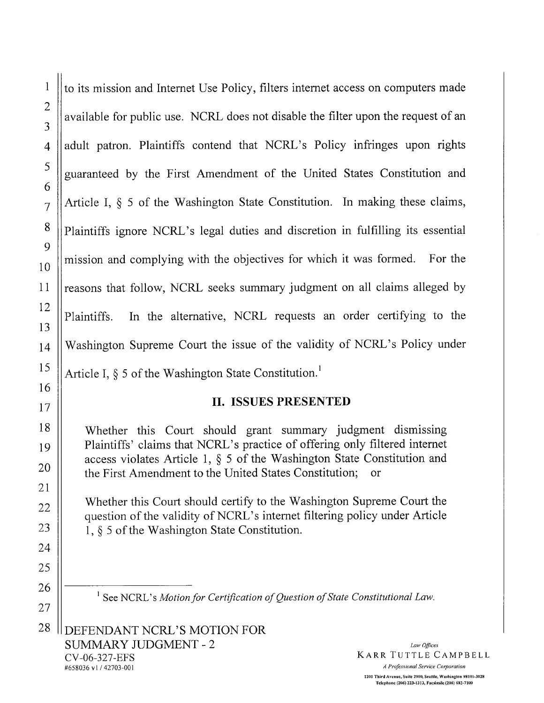to its mission and Internet Use Policy, filters internet access on computers made available for public use. NCRL does not disable the filter upon the request of an adult patron. Plaintiffs contend that NCRL's Policy infringes upon rights guaranteed by the First Amendment of the United States Constitution and Article I, § 5 of the Washington State Constitution. In making these claims, Plaintiffs ignore NCRL's legal duties and discretion in fulfilling its essential mission and complying with the objectives for which it was formed. For the reasons that follow, NCRL seeks summary judgment on all claims alleged by Plaintiffs. In the alternative, NCRL requests an order certifying to the Washington Supreme Court the issue of the validity of NCRL's Policy under Article I,  $\S$  5 of the Washington State Constitution.<sup>1</sup>

## II. ISSUES PRESENTED

Whether this Court should grant summary judgment dismissing Plaintiffs' claims that NCRL's practice of offering only filtered internet access violates Article 1, § 5 of the Washington State Constitution and the First Amendment to the United States Constitution; or

Whether this Court should certify to the Washington Supreme Court the question of the validity of NCRL's internet filtering policy under Article 1, § 5 of the Washington State Constitution.

<sup>1</sup> See NCRL's Motion for Certification of Question of State Constitutional Law.

DEFENDANT NCRL'S MOTION FOR SUMMARY JUDGMENT - 2 CY-06-327-EFS #658036 v1 / 42703-001 A Professional Service Corporation

Law Offices KARR TUTTLE CAMPBELL

1201 Third Avenue, Suite 2900, Seattle, Washington 98101-3028 Telephone (206) 223-1313, Facsimile (206) 682-7100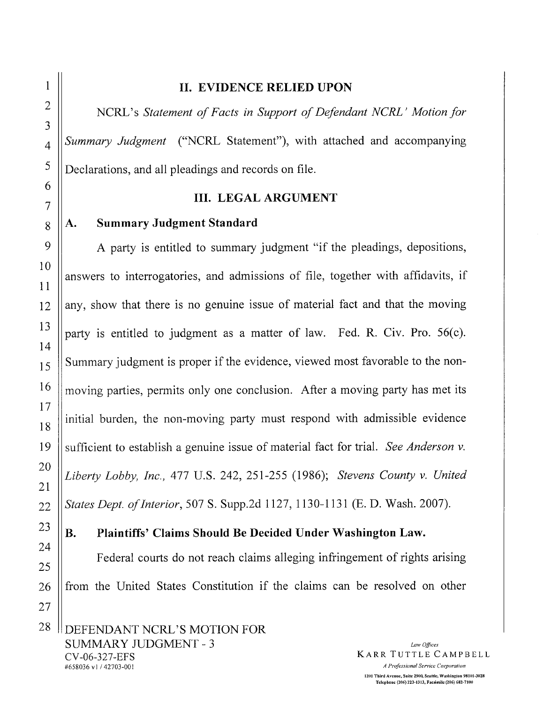### II. EVIDENCE RELIED UPON

NCRL's Statement of Facts in Support of Defendant NCRL' Motion for Summary Judgment ("NCRL Statement"), with attached and accompanying Declarations, and all pleadings and records on file.

### **III. LEGAL ARGUMENT**

#### **Summary Judgment Standard**  $\mathbf{A}$ .

A party is entitled to summary judgment "if the pleadings, depositions, answers to interrogatories, and admissions of file, together with affidavits, if any, show that there is no genuine issue of material fact and that the moving party is entitled to judgment as a matter of law. Fed. R. Civ. Pro. 56(c). Summary judgment is proper if the evidence, viewed most favorable to the nonmoving parties, permits only one conclusion. After a moving party has met its initial burden, the non-moving party must respond with admissible evidence sufficient to establish a genuine issue of material fact for trial. See Anderson v. Liberty Lobby, Inc., 477 U.S. 242, 251-255 (1986); Stevens County v. United States Dept. of Interior, 507 S. Supp.2d 1127, 1130-1131 (E. D. Wash. 2007).

#### $\mathbf{B}$ . Plaintiffs' Claims Should Be Decided Under Washington Law.

Federal courts do not reach claims alleging infringement of rights arising from the United States Constitution if the claims can be resolved on other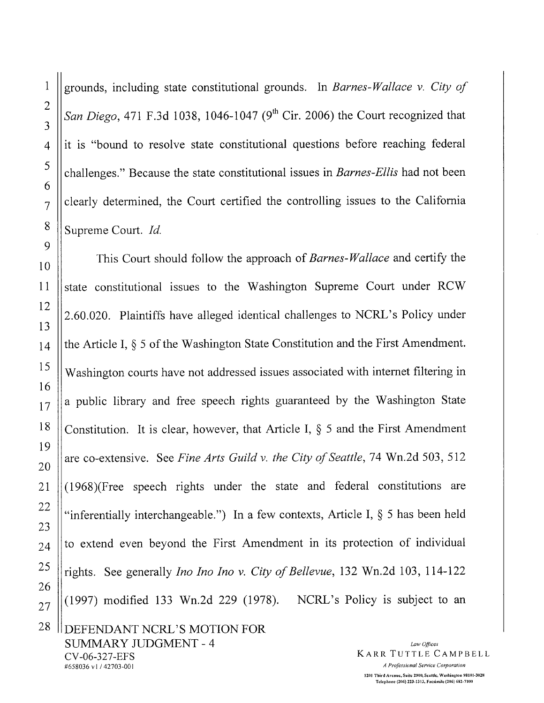grounds, including state constitutional grounds. In Barnes-Wallace v. City of San Diego, 471 F.3d 1038, 1046-1047 (9<sup>th</sup> Cir. 2006) the Court recognized that it is "bound to resolve state constitutional questions before reaching federal challenges." Because the state constitutional issues in *Barnes-Ellis* had not been clearly determined, the Court certified the controlling issues to the California Supreme Court. Id.

This Court should follow the approach of Barnes-Wallace and certify the state constitutional issues to the Washington Supreme Court under RCW 2.60.020. Plaintiffs have alleged identical challenges to NCRL's Policy under the Article I, § 5 of the Washington State Constitution and the First Amendment. Washington courts have not addressed issues associated with internet filtering in a public library and free speech rights guaranteed by the Washington State Constitution. It is clear, however, that Article I,  $\S$  5 and the First Amendment are co-extensive. See Fine Arts Guild v. the City of Seattle, 74 Wn.2d 503, 512 (1968)(Free speech rights under the state and federal constitutions are "inferentially interchangeable.") In a few contexts, Article I,  $\S$  5 has been held to extend even beyond the First Amendment in its protection of individual rights. See generally *Ino Ino Ino v. City of Bellevue*, 132 Wn.2d 103, 114-122  $(1997)$  modified 133 Wn.2d 229 (1978). NCRL's Policy is subject to an

DEFENDANT NCRL'S MOTION FOR **SUMMARY JUDGMENT - 4** CV-06-327-EFS #658036 v1/42703-001

Law Offices **KARR TUTTLE CAMPBELL** A Professional Service Corporation 1201 Third Avenue, Suite 2900, Seattle, Washington 98101-3028 Telephone (206) 223-1313, Facsimile (206) 682-7100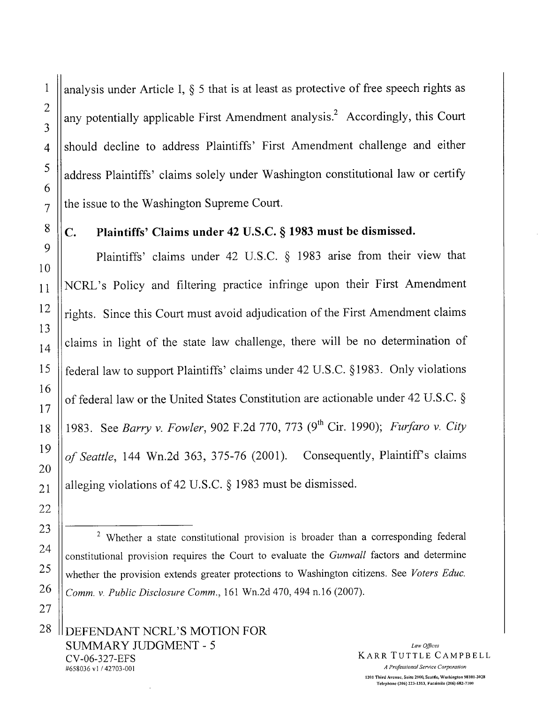analysis under Article I,  $\delta$  5 that is at least as protective of free speech rights as any potentially applicable First Amendment analysis.<sup>2</sup> Accordingly, this Court should decline to address Plaintiffs' First Amendment challenge and either address Plaintiffs' claims solely under Washington constitutional law or certify the issue to the Washington Supreme Court.

### Plaintiffs' Claims under 42 U.S.C. § 1983 must be dismissed.  $\mathbf{C}$ .

Plaintiffs' claims under 42 U.S.C. § 1983 arise from their view that NCRL's Policy and filtering practice infringe upon their First Amendment rights. Since this Court must avoid adjudication of the First Amendment claims claims in light of the state law challenge, there will be no determination of federal law to support Plaintiffs' claims under 42 U.S.C. §1983. Only violations of federal law or the United States Constitution are actionable under 42 U.S.C. § 1983. See Barry v. Fowler, 902 F.2d 770, 773 (9<sup>th</sup> Cir. 1990); Furfaro v. City of Seattle, 144 Wn.2d 363, 375-76 (2001). Consequently, Plaintiff's claims alleging violations of 42 U.S.C.  $\S$  1983 must be dismissed.

<sup>&</sup>lt;sup>2</sup> Whether a state constitutional provision is broader than a corresponding federal constitutional provision requires the Court to evaluate the Gunwall factors and determine whether the provision extends greater protections to Washington citizens. See Voters Educ. Comm. v. Public Disclosure Comm., 161 Wn.2d 470, 494 n.16 (2007).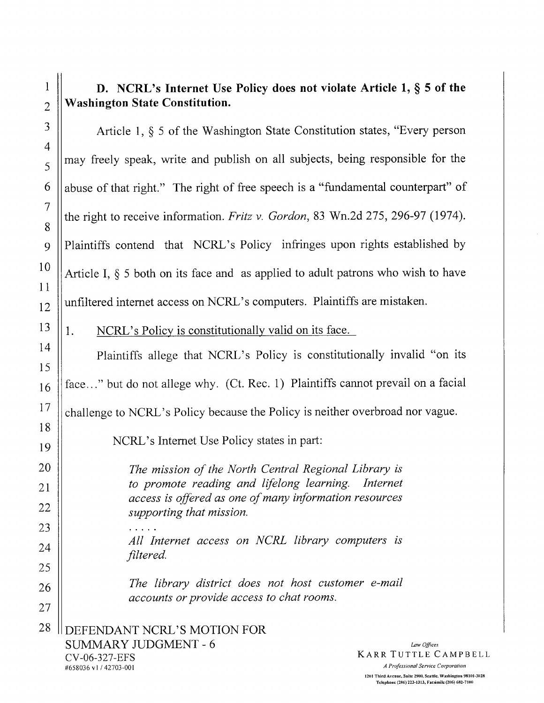# D. NCRL's Internet Use Policy does not violate Article 1,  $\S$  5 of the **Washington State Constitution.**

Article 1, § 5 of the Washington State Constitution states, "Every person may freely speak, write and publish on all subjects, being responsible for the abuse of that right." The right of free speech is a "fundamental counterpart" of the right to receive information. Fritz v. Gordon, 83 Wn.2d 275, 296-97 (1974). Plaintiffs contend that NCRL's Policy infringes upon rights established by Article I,  $\S$  5 both on its face and as applied to adult patrons who wish to have unfiltered internet access on NCRL's computers. Plaintiffs are mistaken.

### $\mathbf{1}$ . NCRL's Policy is constitutionally valid on its face.

Plaintiffs allege that NCRL's Policy is constitutionally invalid "on its face..." but do not allege why. (Ct. Rec. 1) Plaintiffs cannot prevail on a facial challenge to NCRL's Policy because the Policy is neither overbroad nor vague.

NCRL's Internet Use Policy states in part:

The mission of the North Central Regional Library is to promote reading and lifelong learning. Internet access is offered as one of many information resources supporting that mission. All Internet access on NCRL library computers is

The library district does not host customer e-mail accounts or provide access to chat rooms.

I DEFENDANT NCRL'S MOTION FOR **SUMMARY JUDGMENT - 6** CV-06-327-EFS

filtered.

#658036 v1/42703-001

Law Offices **KARR TUTTLE CAMPBELL** 

A Professional Service Corporation

1201 Third Avenue, Suite 2900, Seattle, Washington 98101-3028 Telephone (206) 223-1313, Facsimile (206) 682-7100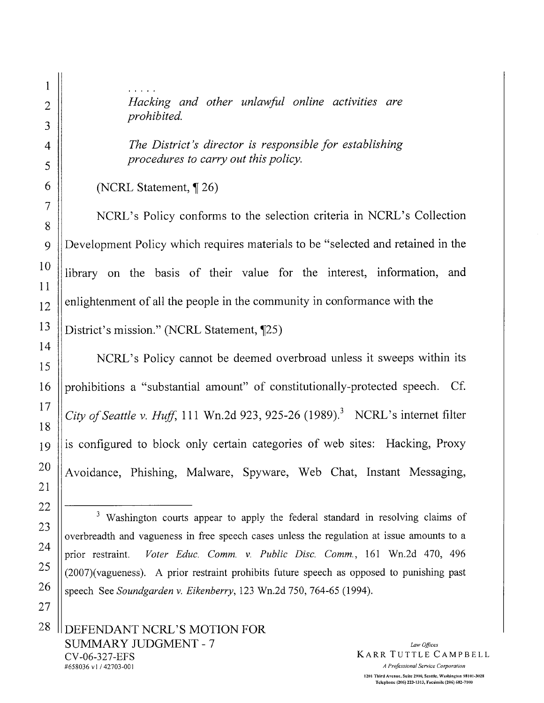Hacking and other unlawful online activities are prohibited.

The District's director is responsible for establishing procedures to carry out this policy.

(NCRL Statement, ¶26)

NCRL's Policy conforms to the selection criteria in NCRL's Collection Development Policy which requires materials to be "selected and retained in the library on the basis of their value for the interest, information, and enlightenment of all the people in the community in conformance with the District's mission." (NCRL Statement, ¶25)

NCRL's Policy cannot be deemed overbroad unless it sweeps within its prohibitions a "substantial amount" of constitutionally-protected speech. Cf. City of Seattle v. Huff, 111 Wn.2d 923, 925-26 (1989).<sup>3</sup> NCRL's internet filter is configured to block only certain categories of web sites: Hacking, Proxy Avoidance, Phishing, Malware, Spyware, Web Chat, Instant Messaging,

<sup>&</sup>lt;sup>3</sup> Washington courts appear to apply the federal standard in resolving claims of overbreadth and vagueness in free speech cases unless the regulation at issue amounts to a Voter Educ. Comm. v. Public Disc. Comm., 161 Wn.2d 470, 496 prior restraint. (2007)(vagueness). A prior restraint prohibits future speech as opposed to punishing past speech See Soundgarden v. Eikenberry, 123 Wn.2d 750, 764-65 (1994).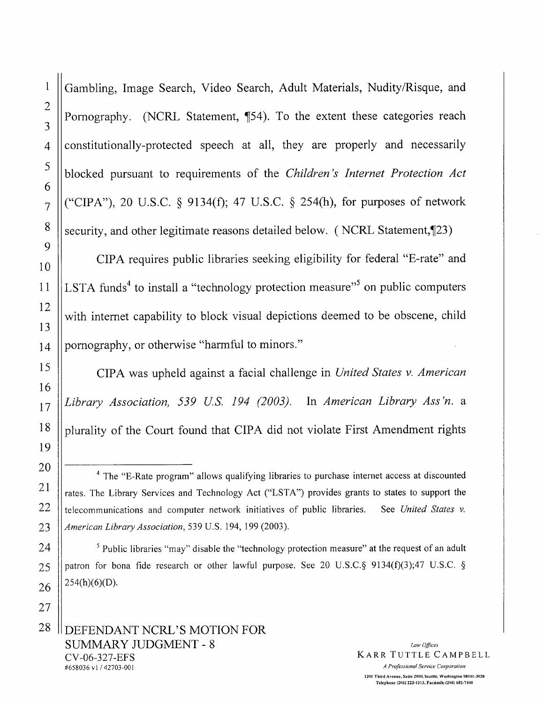Gambling, Image Search, Video Search, Adult Materials, Nudity/Risque, and Pornography. (NCRL Statement, ¶54). To the extent these categories reach constitutionally-protected speech at all, they are properly and necessarily blocked pursuant to requirements of the Children's Internet Protection Act ("CIPA"), 20 U.S.C.  $\S$  9134(f); 47 U.S.C.  $\S$  254(h), for purposes of network security, and other legitimate reasons detailed below. (NCRL Statement, 123)

CIPA requires public libraries seeking eligibility for federal "E-rate" and LSTA funds<sup>4</sup> to install a "technology protection measure"<sup>5</sup> on public computers with internet capability to block visual depictions deemed to be obscene, child pornography, or otherwise "harmful to minors."

CIPA was upheld against a facial challenge in United States v. American Library Association, 539 U.S. 194 (2003). In American Library Ass'n. a plurality of the Court found that CIPA did not violate First Amendment rights

<sup>&</sup>lt;sup>4</sup> The "E-Rate program" allows qualifying libraries to purchase internet access at discounted rates. The Library Services and Technology Act ("LSTA") provides grants to states to support the telecommunications and computer network initiatives of public libraries. See United States v. American Library Association, 539 U.S. 194, 199 (2003).

 $\frac{5}{3}$  Public libraries "may" disable the "technology protection measure" at the request of an adult patron for bona fide research or other lawful purpose. See 20 U.S.C. § 9134(f)(3);47 U.S.C. §  $254(h)(6)(D)$ .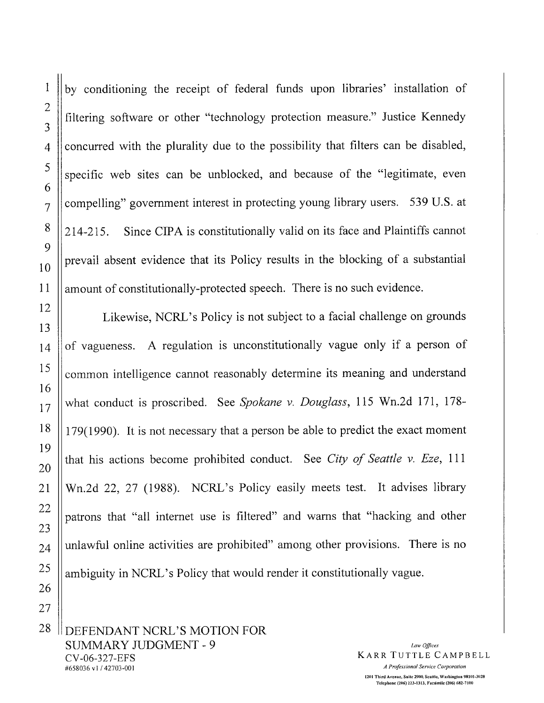$\mathbf{1}$ by conditioning the receipt of federal funds upon libraries' installation of  $\overline{2}$ filtering software or other "technology protection measure." Justice Kennedy concurred with the plurality due to the possibility that filters can be disabled, specific web sites can be unblocked, and because of the "legitimate, even compelling" government interest in protecting young library users. 539 U.S. at Since CIPA is constitutionally valid on its face and Plaintiffs cannot  $214 - 215$ . prevail absent evidence that its Policy results in the blocking of a substantial amount of constitutionally-protected speech. There is no such evidence. Likewise, NCRL's Policy is not subject to a facial challenge on grounds

of vagueness. A regulation is unconstitutionally vague only if a person of common intelligence cannot reasonably determine its meaning and understand what conduct is proscribed. See Spokane v. Douglass, 115 Wn.2d 171, 178-179(1990). It is not necessary that a person be able to predict the exact moment that his actions become prohibited conduct. See City of Seattle v. Eze, 111 Wn.2d 22, 27 (1988). NCRL's Policy easily meets test. It advises library patrons that "all internet use is filtered" and warns that "hacking and other unlawful online activities are prohibited" among other provisions. There is no ambiguity in NCRL's Policy that would render it constitutionally vague.

DEFENDANT NCRL'S MOTION FOR **SUMMARY JUDGMENT - 9** CV-06-327-EFS #658036 v1/42703-001

Law Offices **KARR TUTTLE CAMPBELL** A Professional Service Corporation 1201 Third Avenue, Suite 2900, Scattle, Washington 98101-3028 Telephone (206) 223-1313, Facsimile (206) 682-7100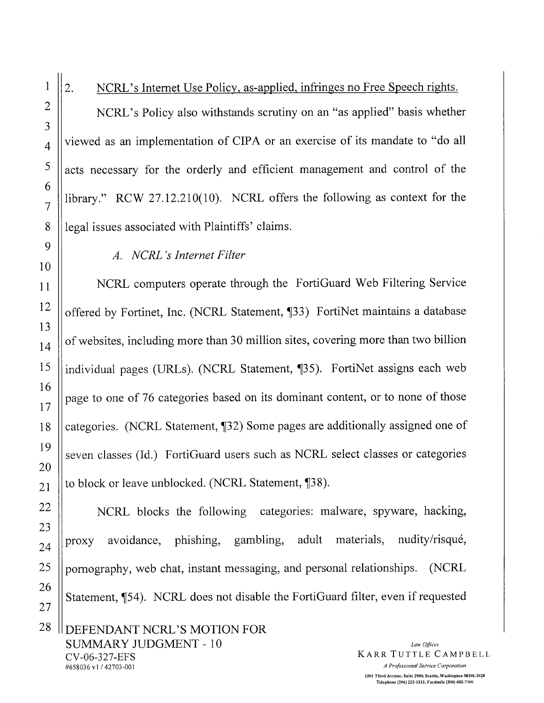$\overline{2}$ . NCRL's Internet Use Policy, as-applied, infringes no Free Speech rights. NCRL's Policy also withstands scrutiny on an "as applied" basis whether viewed as an implementation of CIPA or an exercise of its mandate to "do all acts necessary for the orderly and efficient management and control of the library." RCW 27.12.210(10). NCRL offers the following as context for the legal issues associated with Plaintiffs' claims.

# A. NCRL's Internet Filter

NCRL computers operate through the FortiGuard Web Filtering Service offered by Fortinet, Inc. (NCRL Statement, ¶33) FortiNet maintains a database of websites, including more than 30 million sites, covering more than two billion individual pages (URLs). (NCRL Statement, ¶35). FortiNet assigns each web page to one of 76 categories based on its dominant content, or to none of those categories. (NCRL Statement, 132) Some pages are additionally assigned one of seven classes (Id.) FortiGuard users such as NCRL select classes or categories to block or leave unblocked. (NCRL Statement, [38).

NCRL blocks the following categories: malware, spyware, hacking, avoidance, phishing, gambling, adult materials, nudity/risqué, proxy pornography, web chat, instant messaging, and personal relationships. (NCRL Statement, ¶54). NCRL does not disable the FortiGuard filter, even if requested

Law Offices KARR TUTTLE CAMPBELL A Professional Service Corporation 1201 Third Avenue, Suite 2900, Seattle, Washington 98101-3028 Telephone (206) 223-1313, Facsimile (206) 682-7100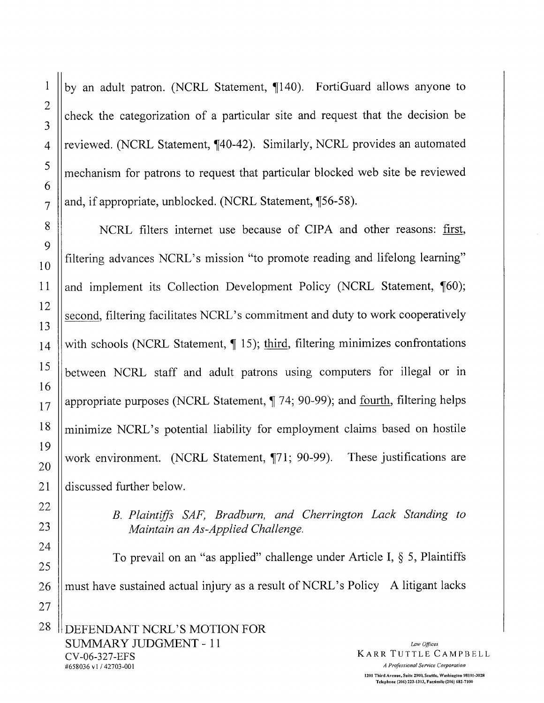$\mathbf{1}$ 

 $\overline{2}$ 

3

 $\overline{4}$ 

by an adult patron. (NCRL Statement, ¶140). FortiGuard allows anyone to check the categorization of a particular site and request that the decision be reviewed. (NCRL Statement, 140-42). Similarly, NCRL provides an automated mechanism for patrons to request that particular blocked web site be reviewed and, if appropriate, unblocked. (NCRL Statement, ¶56-58).

NCRL filters internet use because of CIPA and other reasons: first, filtering advances NCRL's mission "to promote reading and lifelong learning" and implement its Collection Development Policy (NCRL Statement, ¶60); second, filtering facilitates NCRL's commitment and duty to work cooperatively with schools (NCRL Statement,  $\P$  15); third, filtering minimizes confrontations between NCRL staff and adult patrons using computers for illegal or in appropriate purposes (NCRL Statement, ¶ 74; 90-99); and fourth, filtering helps minimize NCRL's potential liability for employment claims based on hostile work environment. (NCRL Statement, ¶71; 90-99). These justifications are discussed further below.

> B. Plaintiffs SAF, Bradburn, and Cherrington Lack Standing to Maintain an As-Applied Challenge.

To prevail on an "as applied" challenge under Article I,  $\S$  5, Plaintiffs must have sustained actual injury as a result of NCRL's Policy A litigant lacks DEFENDANT NCRL'S MOTION FOR

SUMMARY JUDGMENT - 11 CV-06-327-EFS #658036 v1/42703-001

Law Offices **KARR TUTTLE CAMPBELL** A Professional Service Corporation 1201 Third Avenue, Suite 2900, Seattle, Washington 98101-3028 Telephone (206) 223-1313, Facsimile (206) 682-7100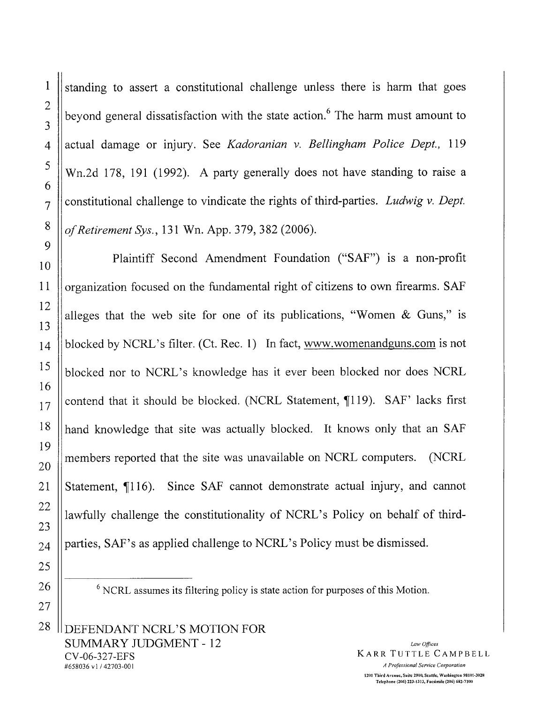standing to assert a constitutional challenge unless there is harm that goes beyond general dissatisfaction with the state action.<sup>6</sup> The harm must amount to actual damage or injury. See Kadoranian v. Bellingham Police Dept., 119 Wn.2d 178, 191 (1992). A party generally does not have standing to raise a constitutional challenge to vindicate the rights of third-parties. Ludwig v. Dept. of Retirement Sys., 131 Wn. App. 379, 382 (2006).

Plaintiff Second Amendment Foundation ("SAF") is a non-profit organization focused on the fundamental right of citizens to own firearms. SAF alleges that the web site for one of its publications, "Women & Guns," is blocked by NCRL's filter. (Ct. Rec. 1) In fact, www.womenandguns.com is not blocked nor to NCRL's knowledge has it ever been blocked nor does NCRL contend that it should be blocked. (NCRL Statement, ¶119). SAF' lacks first hand knowledge that site was actually blocked. It knows only that an SAF members reported that the site was unavailable on NCRL computers. (NCRL) Statement, ¶116). Since SAF cannot demonstrate actual injury, and cannot lawfully challenge the constitutionality of NCRL's Policy on behalf of thirdparties, SAF's as applied challenge to NCRL's Policy must be dismissed.

 $6$  NCRL assumes its filtering policy is state action for purposes of this Motion.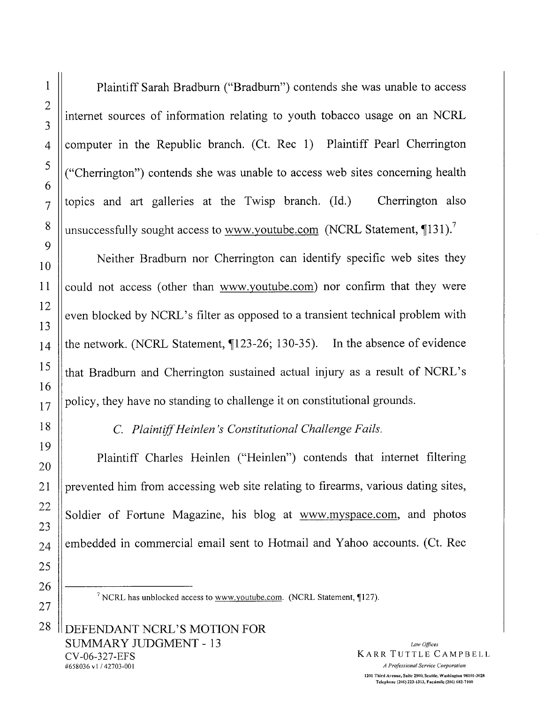Plaintiff Sarah Bradburn ("Bradburn") contends she was unable to access internet sources of information relating to youth tobacco usage on an NCRL computer in the Republic branch. (Ct. Rec 1) Plaintiff Pearl Cherrington ("Cherrington") contends she was unable to access web sites concerning health topics and art galleries at the Twisp branch. (Id.) Cherrington also unsuccessfully sought access to www.youtube.com (NCRL Statement, 131).<sup>7</sup>

Neither Bradburn nor Cherrington can identify specific web sites they could not access (other than www.youtube.com) nor confirm that they were even blocked by NCRL's filter as opposed to a transient technical problem with the network. (NCRL Statement, ¶123-26; 130-35). In the absence of evidence that Bradburn and Cherrington sustained actual injury as a result of NCRL's policy, they have no standing to challenge it on constitutional grounds.

C. Plaintiff Heinlen's Constitutional Challenge Fails.

Plaintiff Charles Heinlen ("Heinlen") contends that internet filtering prevented him from accessing web site relating to firearms, various dating sites, Soldier of Fortune Magazine, his blog at www.myspace.com, and photos embedded in commercial email sent to Hotmail and Yahoo accounts. (Ct. Rec

<sup>7</sup> NCRL has unblocked access to www.youtube.com. (NCRL Statement, ¶127).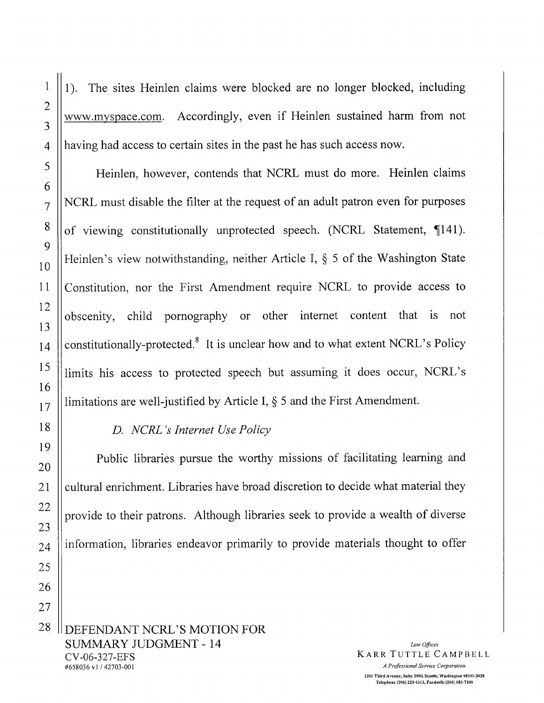The sites Heinlen claims were blocked are no longer blocked, including  $1$ ). www.myspace.com. Accordingly, even if Heinlen sustained harm from not having had access to certain sites in the past he has such access now.

Heinlen, however, contends that NCRL must do more. Heinlen claims NCRL must disable the filter at the request of an adult patron even for purposes of viewing constitutionally unprotected speech. (NCRL Statement, 141). Heinlen's view notwithstanding, neither Article I, § 5 of the Washington State Constitution, nor the First Amendment require NCRL to provide access to obscenity, child pornography or other internet content that is not constitutionally-protected.<sup>8</sup> It is unclear how and to what extent NCRL's Policy limits his access to protected speech but assuming it does occur, NCRL's limitations are well-justified by Article I,  $\S$  5 and the First Amendment.

## D. NCRL's Internet Use Policy

Public libraries pursue the worthy missions of facilitating learning and cultural enrichment. Libraries have broad discretion to decide what material they provide to their patrons. Although libraries seek to provide a wealth of diverse information, libraries endeavor primarily to provide materials thought to offer

DEFENDANT NCRL'S MOTION FOR **SUMMARY JUDGMENT - 14** CV-06-327-EFS #658036 v1/42703-001

Law Offices KARR TUTTLE CAMPBELL

A Professional Service Corporation 1201 Third Avenue, Suite 2900, Scattle, Washington 98101-3028 Telephone (206) 223-1313, Facsimile (206) 682-7100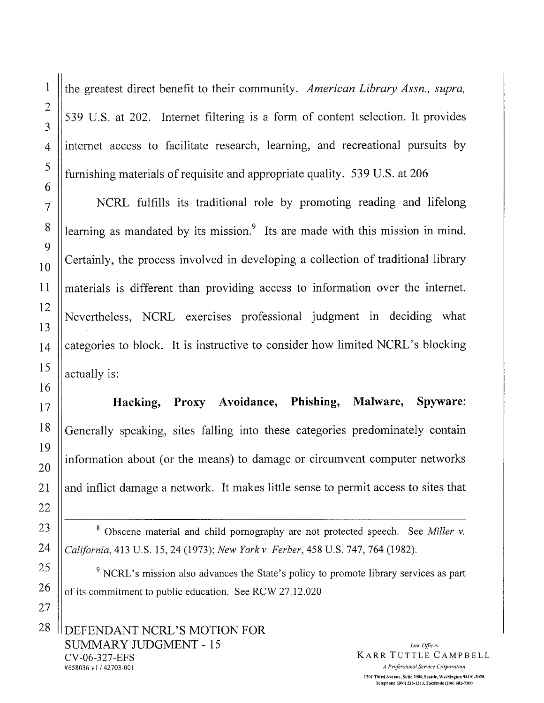the greatest direct benefit to their community. American Library Assn., supra, 539 U.S. at 202. Internet filtering is a form of content selection. It provides internet access to facilitate research, learning, and recreational pursuits by furnishing materials of requisite and appropriate quality. 539 U.S. at 206

NCRL fulfills its traditional role by promoting reading and lifelong learning as mandated by its mission.<sup>9</sup> Its are made with this mission in mind. Certainly, the process involved in developing a collection of traditional library materials is different than providing access to information over the internet. Nevertheless, NCRL exercises professional judgment in deciding what categories to block. It is instructive to consider how limited NCRL's blocking actually is:

Proxy Avoidance, Phishing, Malware, Spyware: Hacking, Generally speaking, sites falling into these categories predominately contain information about (or the means) to damage or circumvent computer networks and inflict damage a network. It makes little sense to permit access to sites that

<sup>8</sup> Obscene material and child pornography are not protected speech. See Miller v. California, 413 U.S. 15, 24 (1973); New York v. Ferber, 458 U.S. 747, 764 (1982).

<sup>9</sup> NCRL's mission also advances the State's policy to promote library services as part of its commitment to public education. See RCW 27.12.020

Law Offices KARR TUTTLE CAMPBELL A Professional Service Corporation 1201 Third Avenue, Suite 2900, Seattle, Washington 98101-3028 Telephone (206) 223-1313, Facsimile (206) 682-7100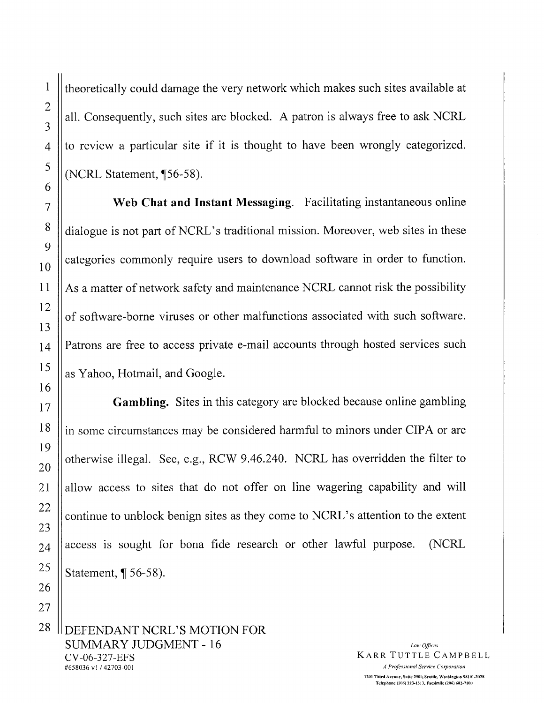theoretically could damage the very network which makes such sites available at all. Consequently, such sites are blocked. A patron is always free to ask NCRL to review a particular site if it is thought to have been wrongly categorized. (NCRL Statement, ¶56-58).

Web Chat and Instant Messaging. Facilitating instantaneous online dialogue is not part of NCRL's traditional mission. Moreover, web sites in these categories commonly require users to download software in order to function. As a matter of network safety and maintenance NCRL cannot risk the possibility of software-borne viruses or other malfunctions associated with such software. Patrons are free to access private e-mail accounts through hosted services such as Yahoo, Hotmail, and Google.

Gambling. Sites in this category are blocked because online gambling in some circumstances may be considered harmful to minors under CIPA or are otherwise illegal. See, e.g., RCW 9.46.240. NCRL has overridden the filter to allow access to sites that do not offer on line wagering capability and will continue to unblock benign sites as they come to NCRL's attention to the extent access is sought for bona fide research or other lawful purpose. (NCRL) Statement,  $\P$  56-58).

DEFENDANT NCRL'S MOTION FOR **SUMMARY JUDGMENT - 16** CV-06-327-EFS #658036 v1/42703-001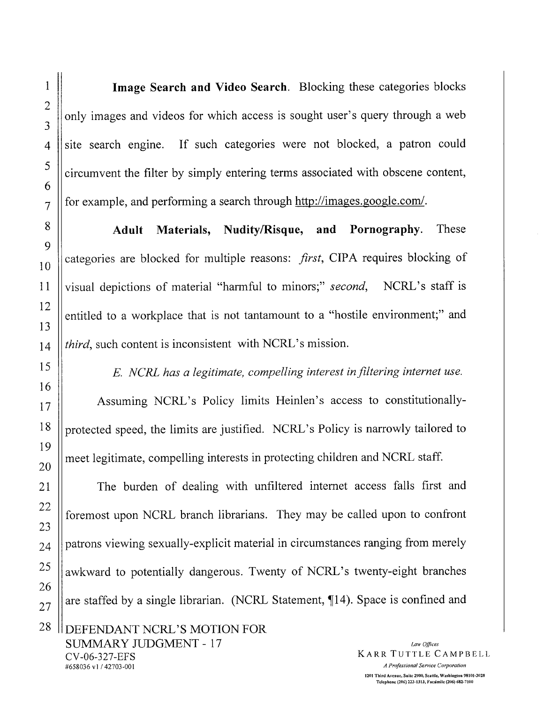Image Search and Video Search. Blocking these categories blocks only images and videos for which access is sought user's query through a web site search engine. If such categories were not blocked, a patron could circumvent the filter by simply entering terms associated with obscene content, for example, and performing a search through http://images.google.com/.

Materials, Nudity/Risque, and Pornography. These Adult categories are blocked for multiple reasons: first, CIPA requires blocking of visual depictions of material "harmful to minors;" second, NCRL's staff is entitled to a workplace that is not tantamount to a "hostile environment;" and *third*, such content is inconsistent with NCRL's mission.

E. NCRL has a legitimate, compelling interest in filtering internet use.

Assuming NCRL's Policy limits Heinlen's access to constitutionallyprotected speed, the limits are justified. NCRL's Policy is narrowly tailored to meet legitimate, compelling interests in protecting children and NCRL staff.

The burden of dealing with unfiltered internet access falls first and foremost upon NCRL branch librarians. They may be called upon to confront patrons viewing sexually-explicit material in circumstances ranging from merely awkward to potentially dangerous. Twenty of NCRL's twenty-eight branches are staffed by a single librarian. (NCRL Statement, ¶14). Space is confined and

DEFENDANT NCRL'S MOTION FOR **SUMMARY JUDGMENT - 17** CV-06-327-EFS #658036 v1/42703-001

Law Offices KARR TUTTLE CAMPBELL A Professional Service Corporation 1201 Third Avenue, Suite 2900, Seattle, Washington 98101-3028 Telephone (206) 223-1313, Facsimile (206) 682-7100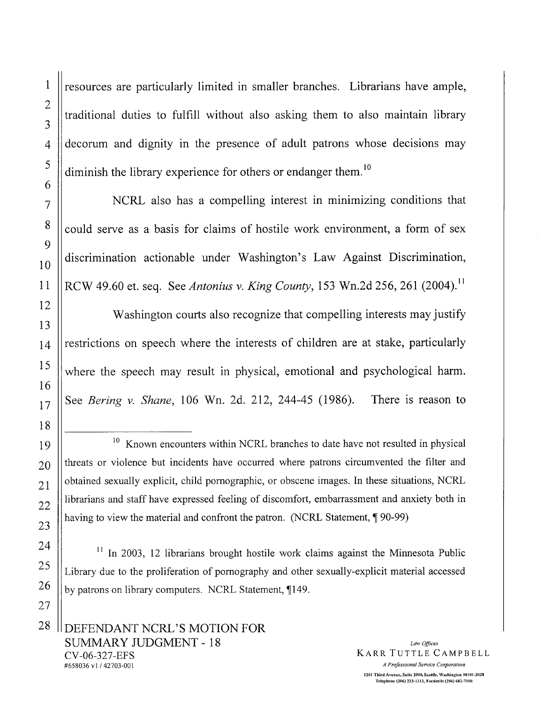resources are particularly limited in smaller branches. Librarians have ample, traditional duties to fulfill without also asking them to also maintain library decorum and dignity in the presence of adult patrons whose decisions may diminish the library experience for others or endanger them.<sup>10</sup>

NCRL also has a compelling interest in minimizing conditions that could serve as a basis for claims of hostile work environment, a form of sex discrimination actionable under Washington's Law Against Discrimination, RCW 49.60 et. seq. See Antonius v. King County, 153 Wn.2d 256, 261 (2004).<sup>11</sup>

Washington courts also recognize that compelling interests may justify restrictions on speech where the interests of children are at stake, particularly where the speech may result in physical, emotional and psychological harm. See Bering v. Shane, 106 Wn. 2d. 212, 244-45 (1986). There is reason to

 $11$  In 2003, 12 librarians brought hostile work claims against the Minnesota Public Library due to the proliferation of pornography and other sexually-explicit material accessed by patrons on library computers. NCRL Statement, 149.

<sup>&</sup>lt;sup>10</sup> Known encounters within NCRL branches to date have not resulted in physical threats or violence but incidents have occurred where patrons circumvented the filter and obtained sexually explicit, child pornographic, or obscene images. In these situations, NCRL librarians and staff have expressed feeling of discomfort, embarrassment and anxiety both in having to view the material and confront the patron. (NCRL Statement, ¶90-99)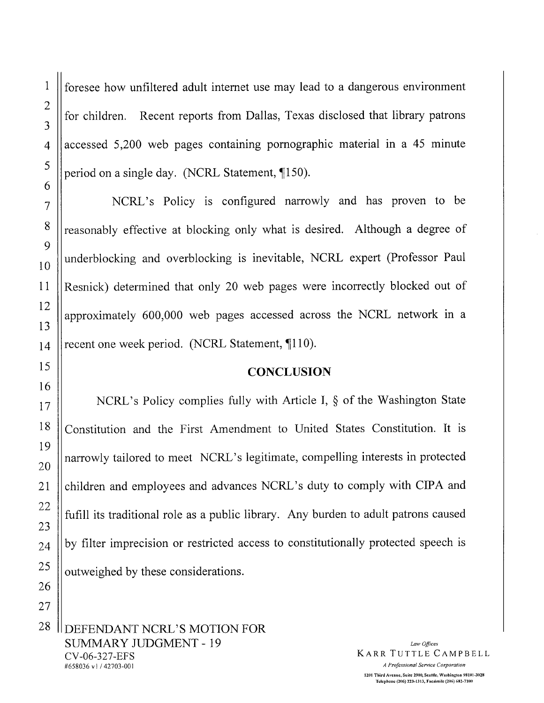foresee how unfiltered adult internet use may lead to a dangerous environment Recent reports from Dallas, Texas disclosed that library patrons for children. accessed 5,200 web pages containing pornographic material in a 45 minute period on a single day. (NCRL Statement, 150).

NCRL's Policy is configured narrowly and has proven to be reasonably effective at blocking only what is desired. Although a degree of underblocking and overblocking is inevitable, NCRL expert (Professor Paul Resnick) determined that only 20 web pages were incorrectly blocked out of approximately 600,000 web pages accessed across the NCRL network in a recent one week period. (NCRL Statement, 110).

## **CONCLUSION**

NCRL's Policy complies fully with Article I, § of the Washington State Constitution and the First Amendment to United States Constitution. It is narrowly tailored to meet NCRL's legitimate, compelling interests in protected children and employees and advances NCRL's duty to comply with CIPA and fufill its traditional role as a public library. Any burden to adult patrons caused by filter imprecision or restricted access to constitutionally protected speech is outweighed by these considerations.

DEFENDANT NCRL'S MOTION FOR **SUMMARY JUDGMENT - 19** CV-06-327-EFS #658036 v1/42703-001

Law Offices KARR TUTTLE CAMPBELL A Professional Service Corporation 1201 Third Avenue, Suite 2900, Seattle, Washington 98101-3028 Telenhone (206) 223-1313, Facsimile (206) 682-7100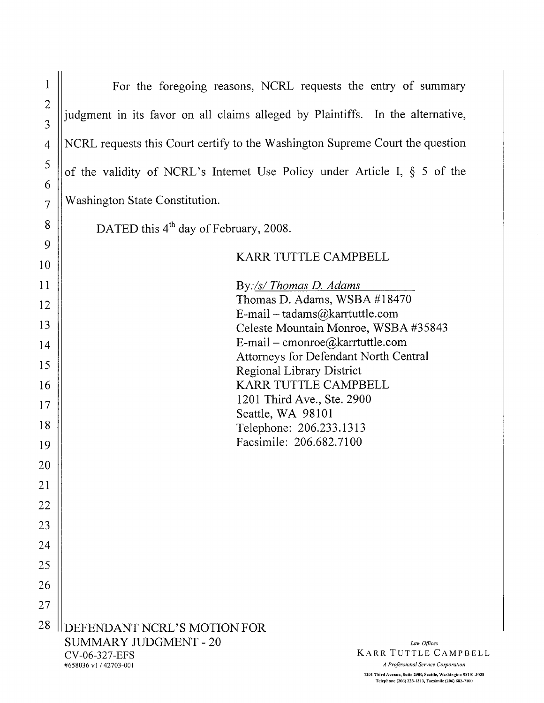| $\mathbf{l}$      | For the foregoing reasons, NCRL requests the entry of summary                                                                                                                            |
|-------------------|------------------------------------------------------------------------------------------------------------------------------------------------------------------------------------------|
| $\mathbf{2}$<br>3 | judgment in its favor on all claims alleged by Plaintiffs. In the alternative,                                                                                                           |
| $\overline{4}$    | NCRL requests this Court certify to the Washington Supreme Court the question                                                                                                            |
| 5<br>6            | of the validity of NCRL's Internet Use Policy under Article I, $\S$ 5 of the                                                                                                             |
| $\overline{7}$    | Washington State Constitution.                                                                                                                                                           |
| 8                 | DATED this 4 <sup>th</sup> day of February, 2008.                                                                                                                                        |
| 9                 | KARR TUTTLE CAMPBELL                                                                                                                                                                     |
| 10                |                                                                                                                                                                                          |
| 11<br>12          | By:/s/ Thomas D. Adams<br>Thomas D. Adams, WSBA #18470                                                                                                                                   |
| 13                | E-mail – tadams@karrtuttle.com<br>Celeste Mountain Monroe, WSBA #35843                                                                                                                   |
| 14                | E-mail – cmonroe@karrtuttle.com                                                                                                                                                          |
| 15                | Attorneys for Defendant North Central<br>Regional Library District                                                                                                                       |
| 16                | KARR TUTTLE CAMPBELL<br>1201 Third Ave., Ste. 2900                                                                                                                                       |
| 17<br>18          | Seattle, WA 98101                                                                                                                                                                        |
| 19                | Telephone: 206.233.1313<br>Facsimile: 206.682.7100                                                                                                                                       |
| 20                |                                                                                                                                                                                          |
| 21                |                                                                                                                                                                                          |
| 22                |                                                                                                                                                                                          |
| 23                |                                                                                                                                                                                          |
| 24<br>25          |                                                                                                                                                                                          |
| 26                |                                                                                                                                                                                          |
| 27                |                                                                                                                                                                                          |
| 28                | DEFENDANT NCRL'S MOTION FOR<br><b>SUMMARY JUDGMENT - 20</b><br>Law Offices<br><b>KARR TUTTLE CAMPBELL</b><br>CV-06-327-EFS<br>A Professional Service Corporation<br>#658036 v1/42703-001 |

1201 Third Avenue, Suite 2900, Seattle, Washington 98101-3028<br>Telephone (206) 223-1313, Facsimile (206) 682-7100

 $\hat{\boldsymbol{\gamma}}$